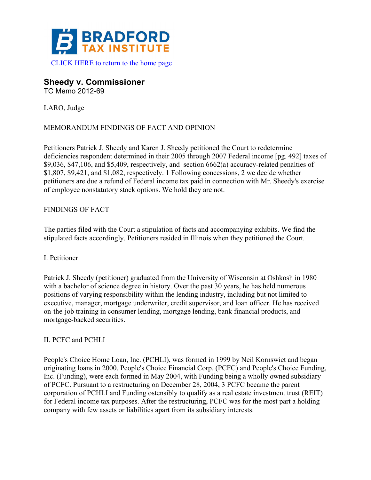

# **Sheedy v. Commissioner**

TC Memo 2012-69

LARO, Judge

# MEMORANDUM FINDINGS OF FACT AND OPINION

Petitioners Patrick J. Sheedy and Karen J. Sheedy petitioned the Court to redetermine deficiencies respondent determined in their 2005 through 2007 Federal income [pg. 492] taxes of \$9,036, \$47,106, and \$5,409, respectively, and section 6662(a) accuracy-related penalties of \$1,807, \$9,421, and \$1,082, respectively. 1 Following concessions, 2 we decide whether petitioners are due a refund of Federal income tax paid in connection with Mr. Sheedy's exercise of employee nonstatutory stock options. We hold they are not.

# FINDINGS OF FACT

The parties filed with the Court a stipulation of facts and accompanying exhibits. We find the stipulated facts accordingly. Petitioners resided in Illinois when they petitioned the Court.

### I. Petitioner

Patrick J. Sheedy (petitioner) graduated from the University of Wisconsin at Oshkosh in 1980 with a bachelor of science degree in history. Over the past 30 years, he has held numerous positions of varying responsibility within the lending industry, including but not limited to executive, manager, mortgage underwriter, credit supervisor, and loan officer. He has received on-the-job training in consumer lending, mortgage lending, bank financial products, and mortgage-backed securities.

### II. PCFC and PCHLI

People's Choice Home Loan, Inc. (PCHLI), was formed in 1999 by Neil Kornswiet and began originating loans in 2000. People's Choice Financial Corp. (PCFC) and People's Choice Funding, Inc. (Funding), were each formed in May 2004, with Funding being a wholly owned subsidiary of PCFC. Pursuant to a restructuring on December 28, 2004, 3 PCFC became the parent corporation of PCHLI and Funding ostensibly to qualify as a real estate investment trust (REIT) for Federal income tax purposes. After the restructuring, PCFC was for the most part a holding company with few assets or liabilities apart from its subsidiary interests.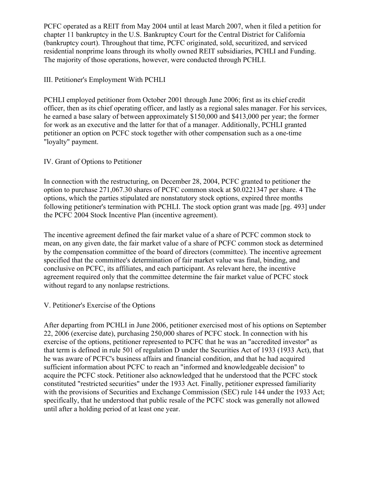PCFC operated as a REIT from May 2004 until at least March 2007, when it filed a petition for chapter 11 bankruptcy in the U.S. Bankruptcy Court for the Central District for California (bankruptcy court). Throughout that time, PCFC originated, sold, securitized, and serviced residential nonprime loans through its wholly owned REIT subsidiaries, PCHLI and Funding. The majority of those operations, however, were conducted through PCHLI.

### III. Petitioner's Employment With PCHLI

PCHLI employed petitioner from October 2001 through June 2006; first as its chief credit officer, then as its chief operating officer, and lastly as a regional sales manager. For his services, he earned a base salary of between approximately \$150,000 and \$413,000 per year; the former for work as an executive and the latter for that of a manager. Additionally, PCHLI granted petitioner an option on PCFC stock together with other compensation such as a one-time "loyalty" payment.

### IV. Grant of Options to Petitioner

In connection with the restructuring, on December 28, 2004, PCFC granted to petitioner the option to purchase 271,067.30 shares of PCFC common stock at \$0.0221347 per share. 4 The options, which the parties stipulated are nonstatutory stock options, expired three months following petitioner's termination with PCHLI. The stock option grant was made [pg. 493] under the PCFC 2004 Stock Incentive Plan (incentive agreement).

The incentive agreement defined the fair market value of a share of PCFC common stock to mean, on any given date, the fair market value of a share of PCFC common stock as determined by the compensation committee of the board of directors (committee). The incentive agreement specified that the committee's determination of fair market value was final, binding, and conclusive on PCFC, its affiliates, and each participant. As relevant here, the incentive agreement required only that the committee determine the fair market value of PCFC stock without regard to any nonlapse restrictions.

### V. Petitioner's Exercise of the Options

After departing from PCHLI in June 2006, petitioner exercised most of his options on September 22, 2006 (exercise date), purchasing 250,000 shares of PCFC stock. In connection with his exercise of the options, petitioner represented to PCFC that he was an "accredited investor" as that term is defined in rule 501 of regulation D under the Securities Act of 1933 (1933 Act), that he was aware of PCFC's business affairs and financial condition, and that he had acquired sufficient information about PCFC to reach an "informed and knowledgeable decision" to acquire the PCFC stock. Petitioner also acknowledged that he understood that the PCFC stock constituted "restricted securities" under the 1933 Act. Finally, petitioner expressed familiarity with the provisions of Securities and Exchange Commission (SEC) rule 144 under the 1933 Act; specifically, that he understood that public resale of the PCFC stock was generally not allowed until after a holding period of at least one year.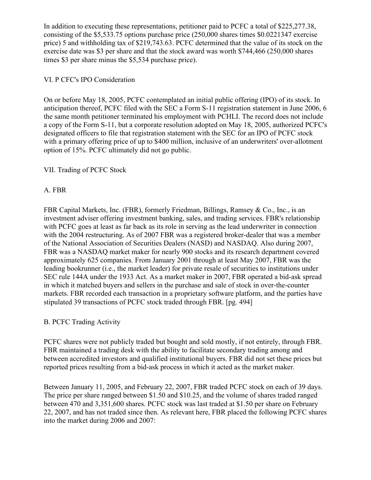In addition to executing these representations, petitioner paid to PCFC a total of \$225,277.38, consisting of the \$5,533.75 options purchase price (250,000 shares times \$0.0221347 exercise price) 5 and withholding tax of \$219,743.63. PCFC determined that the value of its stock on the exercise date was \$3 per share and that the stock award was worth \$744,466 (250,000 shares times \$3 per share minus the \$5,534 purchase price).

### VI. P CFC's IPO Consideration

On or before May 18, 2005, PCFC contemplated an initial public offering (IPO) of its stock. In anticipation thereof, PCFC filed with the SEC a Form S-11 registration statement in June 2006, 6 the same month petitioner terminated his employment with PCHLI. The record does not include a copy of the Form S-11, but a corporate resolution adopted on May 18, 2005, authorized PCFC's designated officers to file that registration statement with the SEC for an IPO of PCFC stock with a primary offering price of up to \$400 million, inclusive of an underwriters' over-allotment option of 15%. PCFC ultimately did not go public.

# VII. Trading of PCFC Stock

# A. FBR

FBR Capital Markets, Inc. (FBR), formerly Friedman, Billings, Ramsey & Co., Inc., is an investment adviser offering investment banking, sales, and trading services. FBR's relationship with PCFC goes at least as far back as its role in serving as the lead underwriter in connection with the 2004 restructuring. As of 2007 FBR was a registered broker-dealer that was a member of the National Association of Securities Dealers (NASD) and NASDAQ. Also during 2007, FBR was a NASDAQ market maker for nearly 900 stocks and its research department covered approximately 625 companies. From January 2001 through at least May 2007, FBR was the leading bookrunner (i.e., the market leader) for private resale of securities to institutions under SEC rule 144A under the 1933 Act. As a market maker in 2007, FBR operated a bid-ask spread in which it matched buyers and sellers in the purchase and sale of stock in over-the-counter markets. FBR recorded each transaction in a proprietary software platform, and the parties have stipulated 39 transactions of PCFC stock traded through FBR. [pg. 494]

### B. PCFC Trading Activity

PCFC shares were not publicly traded but bought and sold mostly, if not entirely, through FBR. FBR maintained a trading desk with the ability to facilitate secondary trading among and between accredited investors and qualified institutional buyers. FBR did not set these prices but reported prices resulting from a bid-ask process in which it acted as the market maker.

Between January 11, 2005, and February 22, 2007, FBR traded PCFC stock on each of 39 days. The price per share ranged between \$1.50 and \$10.25, and the volume of shares traded ranged between 470 and 3,351,600 shares. PCFC stock was last traded at \$1.50 per share on February 22, 2007, and has not traded since then. As relevant here, FBR placed the following PCFC shares into the market during 2006 and 2007: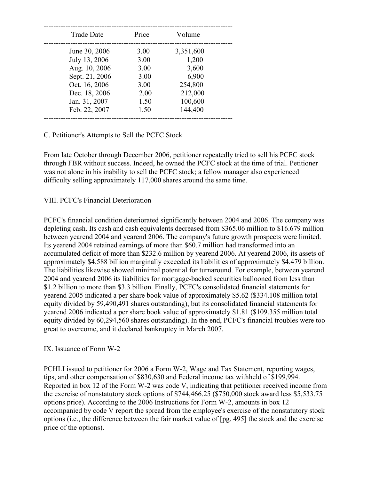| <b>Trade Date</b> | Price | Volume    |
|-------------------|-------|-----------|
| June 30, 2006     | 3.00  | 3,351,600 |
| July 13, 2006     | 3.00  | 1,200     |
| Aug. 10, 2006     | 3.00  | 3,600     |
| Sept. 21, 2006    | 3.00  | 6,900     |
| Oct. 16, 2006     | 3.00  | 254,800   |
| Dec. 18, 2006     | 2.00  | 212,000   |
| Jan. 31, 2007     | 1.50  | 100,600   |
| Feb. 22, 2007     | 1.50  | 144,400   |
|                   |       |           |

#### C. Petitioner's Attempts to Sell the PCFC Stock

From late October through December 2006, petitioner repeatedly tried to sell his PCFC stock through FBR without success. Indeed, he owned the PCFC stock at the time of trial. Petitioner was not alone in his inability to sell the PCFC stock; a fellow manager also experienced difficulty selling approximately 117,000 shares around the same time.

#### VIII. PCFC's Financial Deterioration

PCFC's financial condition deteriorated significantly between 2004 and 2006. The company was depleting cash. Its cash and cash equivalents decreased from \$365.06 million to \$16.679 million between yearend 2004 and yearend 2006. The company's future growth prospects were limited. Its yearend 2004 retained earnings of more than \$60.7 million had transformed into an accumulated deficit of more than \$232.6 million by yearend 2006. At yearend 2006, its assets of approximately \$4.588 billion marginally exceeded its liabilities of approximately \$4.479 billion. The liabilities likewise showed minimal potential for turnaround. For example, between yearend 2004 and yearend 2006 its liabilities for mortgage-backed securities ballooned from less than \$1.2 billion to more than \$3.3 billion. Finally, PCFC's consolidated financial statements for yearend 2005 indicated a per share book value of approximately \$5.62 (\$334.108 million total equity divided by 59,490,491 shares outstanding), but its consolidated financial statements for yearend 2006 indicated a per share book value of approximately \$1.81 (\$109.355 million total equity divided by 60,294,560 shares outstanding). In the end, PCFC's financial troubles were too great to overcome, and it declared bankruptcy in March 2007.

#### IX. Issuance of Form W-2

PCHLI issued to petitioner for 2006 a Form W-2, Wage and Tax Statement, reporting wages, tips, and other compensation of \$830,630 and Federal income tax withheld of \$199,994. Reported in box 12 of the Form W-2 was code V, indicating that petitioner received income from the exercise of nonstatutory stock options of \$744,466.25 (\$750,000 stock award less \$5,533.75 options price). According to the 2006 Instructions for Form W-2, amounts in box 12 accompanied by code V report the spread from the employee's exercise of the nonstatutory stock options (i.e., the difference between the fair market value of [pg. 495] the stock and the exercise price of the options).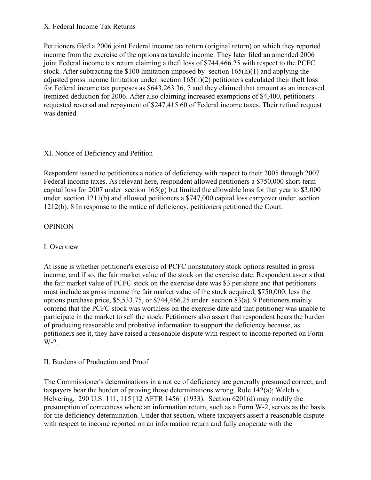### X. Federal Income Tax Returns

Petitioners filed a 2006 joint Federal income tax return (original return) on which they reported income from the exercise of the options as taxable income. They later filed an amended 2006 joint Federal income tax return claiming a theft loss of \$744,466.25 with respect to the PCFC stock. After subtracting the \$100 limitation imposed by section 165(h)(1) and applying the adjusted gross income limitation under section 165(h)(2) petitioners calculated their theft loss for Federal income tax purposes as \$643,263.36, 7 and they claimed that amount as an increased itemized deduction for 2006. After also claiming increased exemptions of \$4,400, petitioners requested reversal and repayment of \$247,415.60 of Federal income taxes. Their refund request was denied.

#### XI. Notice of Deficiency and Petition

Respondent issued to petitioners a notice of deficiency with respect to their 2005 through 2007 Federal income taxes. As relevant here, respondent allowed petitioners a \$750,000 short-term capital loss for 2007 under section  $165(g)$  but limited the allowable loss for that year to \$3,000 under section 1211(b) and allowed petitioners a \$747,000 capital loss carryover under section 1212(b). 8 In response to the notice of deficiency, petitioners petitioned the Court.

### **OPINION**

### I. Overview

At issue is whether petitioner's exercise of PCFC nonstatutory stock options resulted in gross income, and if so, the fair market value of the stock on the exercise date. Respondent asserts that the fair market value of PCFC stock on the exercise date was \$3 per share and that petitioners must include as gross income the fair market value of the stock acquired, \$750,000, less the options purchase price, \$5,533.75, or \$744,466.25 under section 83(a). 9 Petitioners mainly contend that the PCFC stock was worthless on the exercise date and that petitioner was unable to participate in the market to sell the stock. Petitioners also assert that respondent bears the burden of producing reasonable and probative information to support the deficiency because, as petitioners see it, they have raised a reasonable dispute with respect to income reported on Form W-2.

### II. Burdens of Production and Proof

The Commissioner's determinations in a notice of deficiency are generally presumed correct, and taxpayers bear the burden of proving those determinations wrong. Rule 142(a); Welch v. Helvering, 290 U.S. 111, 115 [12 AFTR 1456] (1933). Section 6201(d) may modify the presumption of correctness where an information return, such as a Form W-2, serves as the basis for the deficiency determination. Under that section, where taxpayers assert a reasonable dispute with respect to income reported on an information return and fully cooperate with the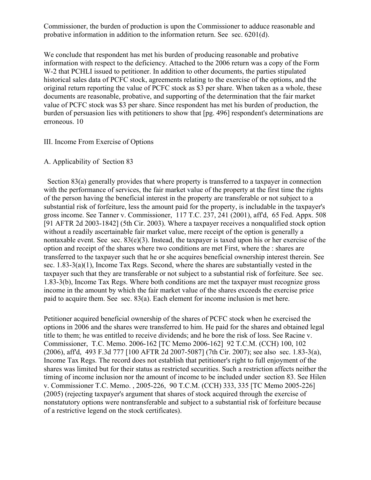Commissioner, the burden of production is upon the Commissioner to adduce reasonable and probative information in addition to the information return. See sec. 6201(d).

We conclude that respondent has met his burden of producing reasonable and probative information with respect to the deficiency. Attached to the 2006 return was a copy of the Form W-2 that PCHLI issued to petitioner. In addition to other documents, the parties stipulated historical sales data of PCFC stock, agreements relating to the exercise of the options, and the original return reporting the value of PCFC stock as \$3 per share. When taken as a whole, these documents are reasonable, probative, and supporting of the determination that the fair market value of PCFC stock was \$3 per share. Since respondent has met his burden of production, the burden of persuasion lies with petitioners to show that [pg. 496] respondent's determinations are erroneous. 10

#### III. Income From Exercise of Options

#### A. Applicability of Section 83

 Section 83(a) generally provides that where property is transferred to a taxpayer in connection with the performance of services, the fair market value of the property at the first time the rights of the person having the beneficial interest in the property are transferable or not subject to a substantial risk of forfeiture, less the amount paid for the property, is includable in the taxpayer's gross income. See Tanner v. Commissioner, 117 T.C. 237, 241 (2001), aff'd, 65 Fed. Appx. 508 [91 AFTR 2d 2003-1842] (5th Cir. 2003). Where a taxpayer receives a nonqualified stock option without a readily ascertainable fair market value, mere receipt of the option is generally a nontaxable event. See sec. 83(e)(3). Instead, the taxpayer is taxed upon his or her exercise of the option and receipt of the shares where two conditions are met First, where the : shares are transferred to the taxpayer such that he or she acquires beneficial ownership interest therein. See sec. 1.83-3(a)(1), Income Tax Regs. Second, where the shares are substantially vested in the taxpayer such that they are transferable or not subject to a substantial risk of forfeiture. See sec. 1.83-3(b), Income Tax Regs. Where both conditions are met the taxpayer must recognize gross income in the amount by which the fair market value of the shares exceeds the exercise price paid to acquire them. See sec. 83(a). Each element for income inclusion is met here.

Petitioner acquired beneficial ownership of the shares of PCFC stock when he exercised the options in 2006 and the shares were transferred to him. He paid for the shares and obtained legal title to them; he was entitled to receive dividends; and he bore the risk of loss. See Racine v. Commissioner, T.C. Memo. 2006-162 [TC Memo 2006-162] 92 T.C.M. (CCH) 100, 102 (2006), aff'd, 493 F.3d 777 [100 AFTR 2d 2007-5087] (7th Cir. 2007); see also sec. 1.83-3(a), Income Tax Regs. The record does not establish that petitioner's right to full enjoyment of the shares was limited but for their status as restricted securities. Such a restriction affects neither the timing of income inclusion nor the amount of income to be included under section 83. See Hilen v. Commissioner T.C. Memo. , 2005-226, 90 T.C.M. (CCH) 333, 335 [TC Memo 2005-226] (2005) (rejecting taxpayer's argument that shares of stock acquired through the exercise of nonstatutory options were nontransferable and subject to a substantial risk of forfeiture because of a restrictive legend on the stock certificates).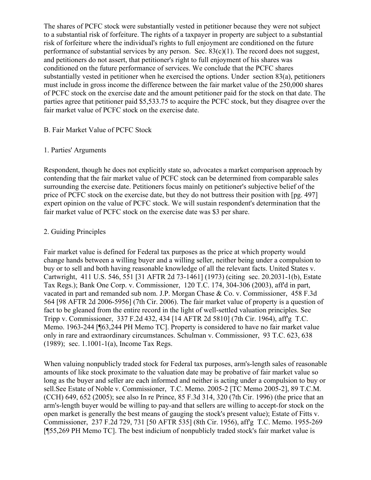The shares of PCFC stock were substantially vested in petitioner because they were not subject to a substantial risk of forfeiture. The rights of a taxpayer in property are subject to a substantial risk of forfeiture where the individual's rights to full enjoyment are conditioned on the future performance of substantial services by any person. Sec.  $83(c)(1)$ . The record does not suggest, and petitioners do not assert, that petitioner's right to full enjoyment of his shares was conditioned on the future performance of services. We conclude that the PCFC shares substantially vested in petitioner when he exercised the options. Under section 83(a), petitioners must include in gross income the difference between the fair market value of the 250,000 shares of PCFC stock on the exercise date and the amount petitioner paid for the stock on that date. The parties agree that petitioner paid \$5,533.75 to acquire the PCFC stock, but they disagree over the fair market value of PCFC stock on the exercise date.

#### B. Fair Market Value of PCFC Stock

#### 1. Parties' Arguments

Respondent, though he does not explicitly state so, advocates a market comparison approach by contending that the fair market value of PCFC stock can be determined from comparable sales surrounding the exercise date. Petitioners focus mainly on petitioner's subjective belief of the price of PCFC stock on the exercise date, but they do not buttress their position with [pg. 497] expert opinion on the value of PCFC stock. We will sustain respondent's determination that the fair market value of PCFC stock on the exercise date was \$3 per share.

#### 2. Guiding Principles

Fair market value is defined for Federal tax purposes as the price at which property would change hands between a willing buyer and a willing seller, neither being under a compulsion to buy or to sell and both having reasonable knowledge of all the relevant facts. United States v. Cartwright, 411 U.S. 546, 551 [31 AFTR 2d 73-1461] (1973) (citing sec. 20.2031-1(b), Estate Tax Regs.); Bank One Corp. v. Commissioner, 120 T.C. 174, 304-306 (2003), aff'd in part, vacated in part and remanded sub nom. J.P. Morgan Chase & Co. v. Commissioner, 458 F.3d 564 [98 AFTR 2d 2006-5956] (7th Cir. 2006). The fair market value of property is a question of fact to be gleaned from the entire record in the light of well-settled valuation principles. See Tripp v. Commissioner, 337 F.2d 432, 434 [14 AFTR 2d 5810] (7th Cir. 1964), aff'g T.C. Memo. 1963-244 [¶63,244 PH Memo TC]. Property is considered to have no fair market value only in rare and extraordinary circumstances. Schulman v. Commissioner, 93 T.C. 623, 638 (1989); sec. 1.1001-1(a), Income Tax Regs.

When valuing nonpublicly traded stock for Federal tax purposes, arm's-length sales of reasonable amounts of like stock proximate to the valuation date may be probative of fair market value so long as the buyer and seller are each informed and neither is acting under a compulsion to buy or sell.See Estate of Noble v. Commissioner, T.C. Memo. 2005-2 [TC Memo 2005-2], 89 T.C.M. (CCH) 649, 652 (2005); see also In re Prince, 85 F.3d 314, 320 (7th Cir. 1996) (the price that an arm's-length buyer would be willing to pay-and that sellers are willing to accept-for stock on the open market is generally the best means of gauging the stock's present value); Estate of Fitts v. Commissioner, 237 F.2d 729, 731 [50 AFTR 535] (8th Cir. 1956), aff'g T.C. Memo. 1955-269 [¶55,269 PH Memo TC]. The best indicium of nonpublicly traded stock's fair market value is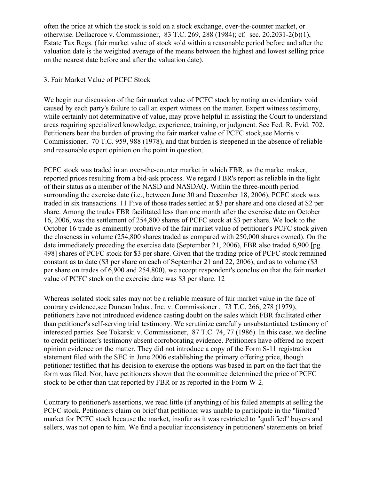often the price at which the stock is sold on a stock exchange, over-the-counter market, or otherwise. Dellacroce v. Commissioner, 83 T.C. 269, 288 (1984); cf. sec. 20.2031-2(b)(1), Estate Tax Regs. (fair market value of stock sold within a reasonable period before and after the valuation date is the weighted average of the means between the highest and lowest selling price on the nearest date before and after the valuation date).

#### 3. Fair Market Value of PCFC Stock

We begin our discussion of the fair market value of PCFC stock by noting an evidentiary void caused by each party's failure to call an expert witness on the matter. Expert witness testimony, while certainly not determinative of value, may prove helpful in assisting the Court to understand areas requiring specialized knowledge, experience, training, or judgment. See Fed. R. Evid. 702. Petitioners bear the burden of proving the fair market value of PCFC stock,see Morris v. Commissioner, 70 T.C. 959, 988 (1978), and that burden is steepened in the absence of reliable and reasonable expert opinion on the point in question.

PCFC stock was traded in an over-the-counter market in which FBR, as the market maker, reported prices resulting from a bid-ask process. We regard FBR's report as reliable in the light of their status as a member of the NASD and NASDAQ. Within the three-month period surrounding the exercise date (i.e., between June 30 and December 18, 2006), PCFC stock was traded in six transactions. 11 Five of those trades settled at \$3 per share and one closed at \$2 per share. Among the trades FBR facilitated less than one month after the exercise date on October 16, 2006, was the settlement of 254,800 shares of PCFC stock at \$3 per share. We look to the October 16 trade as eminently probative of the fair market value of petitioner's PCFC stock given the closeness in volume (254,800 shares traded as compared with 250,000 shares owned). On the date immediately preceding the exercise date (September 21, 2006), FBR also traded 6,900 [pg. 498] shares of PCFC stock for \$3 per share. Given that the trading price of PCFC stock remained constant as to date (\$3 per share on each of September 21 and 22, 2006), and as to volume (\$3 per share on trades of 6,900 and 254,800), we accept respondent's conclusion that the fair market value of PCFC stock on the exercise date was \$3 per share. 12

Whereas isolated stock sales may not be a reliable measure of fair market value in the face of contrary evidence,see Duncan Indus., Inc. v. Commissioner , 73 T.C. 266, 278 (1979), petitioners have not introduced evidence casting doubt on the sales which FBR facilitated other than petitioner's self-serving trial testimony. We scrutinize carefully unsubstantiated testimony of interested parties. See Tokarski v. Commissioner, 87 T.C. 74, 77 (1986). In this case, we decline to credit petitioner's testimony absent corroborating evidence. Petitioners have offered no expert opinion evidence on the matter. They did not introduce a copy of the Form S-11 registration statement filed with the SEC in June 2006 establishing the primary offering price, though petitioner testified that his decision to exercise the options was based in part on the fact that the form was filed. Nor, have petitioners shown that the committee determined the price of PCFC stock to be other than that reported by FBR or as reported in the Form W-2.

Contrary to petitioner's assertions, we read little (if anything) of his failed attempts at selling the PCFC stock. Petitioners claim on brief that petitioner was unable to participate in the "limited" market for PCFC stock because the market, insofar as it was restricted to "qualified" buyers and sellers, was not open to him. We find a peculiar inconsistency in petitioners' statements on brief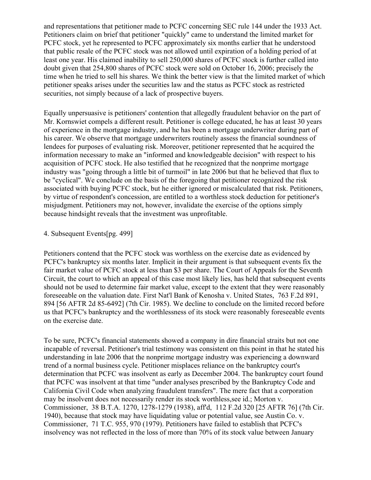and representations that petitioner made to PCFC concerning SEC rule 144 under the 1933 Act. Petitioners claim on brief that petitioner "quickly" came to understand the limited market for PCFC stock, yet he represented to PCFC approximately six months earlier that he understood that public resale of the PCFC stock was not allowed until expiration of a holding period of at least one year. His claimed inability to sell 250,000 shares of PCFC stock is further called into doubt given that 254,800 shares of PCFC stock were sold on October 16, 2006; precisely the time when he tried to sell his shares. We think the better view is that the limited market of which petitioner speaks arises under the securities law and the status as PCFC stock as restricted securities, not simply because of a lack of prospective buyers.

Equally unpersuasive is petitioners' contention that allegedly fraudulent behavior on the part of Mr. Kornswiet compels a different result. Petitioner is college educated, he has at least 30 years of experience in the mortgage industry, and he has been a mortgage underwriter during part of his career. We observe that mortgage underwriters routinely assess the financial soundness of lendees for purposes of evaluating risk. Moreover, petitioner represented that he acquired the information necessary to make an "informed and knowledgeable decision" with respect to his acquisition of PCFC stock. He also testified that he recognized that the nonprime mortgage industry was "going through a little bit of turmoil" in late 2006 but that he believed that flux to be "cyclical". We conclude on the basis of the foregoing that petitioner recognized the risk associated with buying PCFC stock, but he either ignored or miscalculated that risk. Petitioners, by virtue of respondent's concession, are entitled to a worthless stock deduction for petitioner's misjudgment. Petitioners may not, however, invalidate the exercise of the options simply because hindsight reveals that the investment was unprofitable.

#### 4. Subsequent Events[pg. 499]

Petitioners contend that the PCFC stock was worthless on the exercise date as evidenced by PCFC's bankruptcy six months later. Implicit in their argument is that subsequent events fix the fair market value of PCFC stock at less than \$3 per share. The Court of Appeals for the Seventh Circuit, the court to which an appeal of this case most likely lies, has held that subsequent events should not be used to determine fair market value, except to the extent that they were reasonably foreseeable on the valuation date. First Nat'l Bank of Kenosha v. United States, 763 F.2d 891, 894 [56 AFTR 2d 85-6492] (7th Cir. 1985). We decline to conclude on the limited record before us that PCFC's bankruptcy and the worthlessness of its stock were reasonably foreseeable events on the exercise date.

To be sure, PCFC's financial statements showed a company in dire financial straits but not one incapable of reversal. Petitioner's trial testimony was consistent on this point in that he stated his understanding in late 2006 that the nonprime mortgage industry was experiencing a downward trend of a normal business cycle. Petitioner misplaces reliance on the bankruptcy court's determination that PCFC was insolvent as early as December 2004. The bankruptcy court found that PCFC was insolvent at that time "under analyses prescribed by the Bankruptcy Code and California Civil Code when analyzing fraudulent transfers". The mere fact that a corporation may be insolvent does not necessarily render its stock worthless,see id.; Morton v. Commissioner, 38 B.T.A. 1270, 1278-1279 (1938), aff'd, 112 F.2d 320 [25 AFTR 76] (7th Cir. 1940), because that stock may have liquidating value or potential value, see Austin Co. v. Commissioner, 71 T.C. 955, 970 (1979). Petitioners have failed to establish that PCFC's insolvency was not reflected in the loss of more than 70% of its stock value between January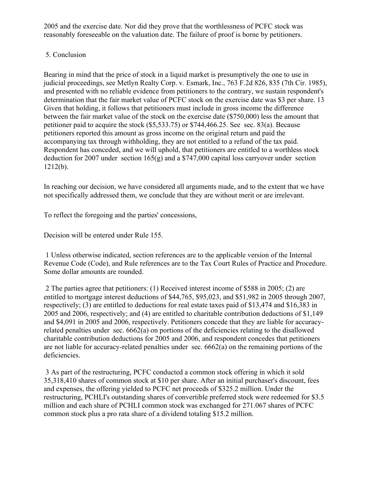2005 and the exercise date. Nor did they prove that the worthlessness of PCFC stock was reasonably foreseeable on the valuation date. The failure of proof is borne by petitioners.

# 5. Conclusion

Bearing in mind that the price of stock in a liquid market is presumptively the one to use in judicial proceedings, see Metlyn Realty Corp. v. Esmark, Inc., 763 F.2d 826, 835 (7th Cir. 1985), and presented with no reliable evidence from petitioners to the contrary, we sustain respondent's determination that the fair market value of PCFC stock on the exercise date was \$3 per share. 13 Given that holding, it follows that petitioners must include in gross income the difference between the fair market value of the stock on the exercise date (\$750,000) less the amount that petitioner paid to acquire the stock (\$5,533.75) or \$744,466.25. See sec. 83(a). Because petitioners reported this amount as gross income on the original return and paid the accompanying tax through withholding, they are not entitled to a refund of the tax paid. Respondent has conceded, and we will uphold, that petitioners are entitled to a worthless stock deduction for 2007 under section 165(g) and a \$747,000 capital loss carryover under section 1212(b).

In reaching our decision, we have considered all arguments made, and to the extent that we have not specifically addressed them, we conclude that they are without merit or are irrelevant.

To reflect the foregoing and the parties' concessions,

Decision will be entered under Rule 155.

1 Unless otherwise indicated, section references are to the applicable version of the Internal Revenue Code (Code), and Rule references are to the Tax Court Rules of Practice and Procedure. Some dollar amounts are rounded.

2 The parties agree that petitioners: (1) Received interest income of \$588 in 2005; (2) are entitled to mortgage interest deductions of \$44,765, \$95,023, and \$51,982 in 2005 through 2007, respectively; (3) are entitled to deductions for real estate taxes paid of \$13,474 and \$16,383 in 2005 and 2006, respectively; and (4) are entitled to charitable contribution deductions of \$1,149 and \$4,091 in 2005 and 2006, respectively. Petitioners concede that they are liable for accuracyrelated penalties under sec. 6662(a) on portions of the deficiencies relating to the disallowed charitable contribution deductions for 2005 and 2006, and respondent concedes that petitioners are not liable for accuracy-related penalties under sec. 6662(a) on the remaining portions of the deficiencies.

3 As part of the restructuring, PCFC conducted a common stock offering in which it sold 35,318,410 shares of common stock at \$10 per share. After an initial purchaser's discount, fees and expenses, the offering yielded to PCFC net proceeds of \$325.2 million. Under the restructuring, PCHLI's outstanding shares of convertible preferred stock were redeemed for \$3.5 million and each share of PCHLI common stock was exchanged for 271.067 shares of PCFC common stock plus a pro rata share of a dividend totaling \$15.2 million.